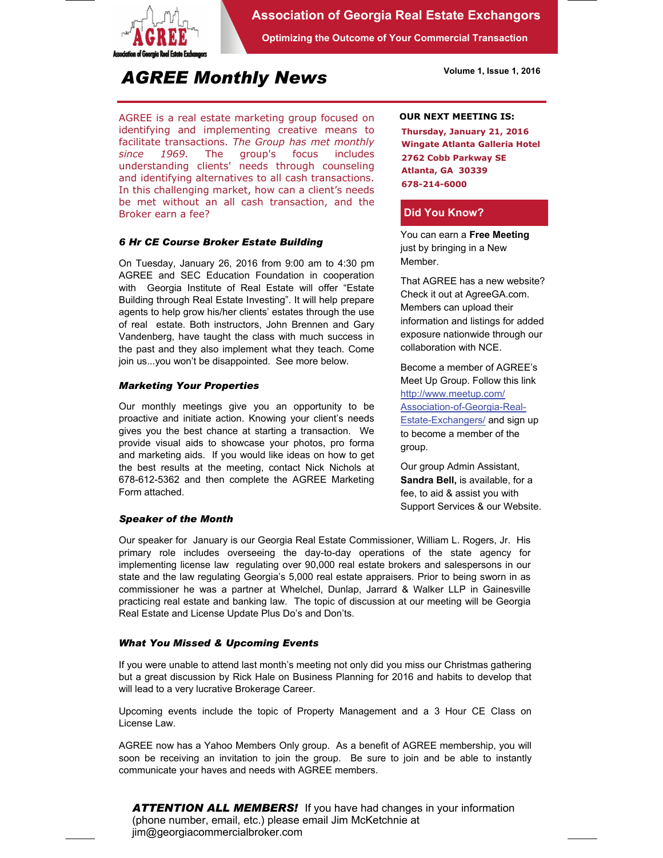

## **Association of Georgia Real Estate Exchangors**

**Optimizing the Outcome of Your Commercial Transaction** 

**Volume 1, Issue 1, 2016** 

# *AGREE Monthly News*

AGREE is a real estate marketing group focused on identifying and implementing creative means to facilitate transactions. *The Group has met monthly since 1969.* The group's focus includes understanding clients' needs through counseling and identifying alternatives to all cash transactions. In this challenging market, how can a client's needs be met without an all cash transaction, and the Broker earn a fee?

## *6 Hr CE Course Broker Estate Building*

On Tuesday, January 26, 2016 from 9:00 am to 4:30 pm AGREE and SEC Education Foundation in cooperation with Georgia Institute of Real Estate will offer "Estate Building through Real Estate Investing". It will help prepare agents to help grow his/her clients' estates through the use of real estate. Both instructors, John Brennen and Gary Vandenberg, have taught the class with much success in the past and they also implement what they teach. Come join us...you won't be disappointed. See more below.

## *Marketing Your Properties*

Our monthly meetings give you an opportunity to be proactive and initiate action. Knowing your client's needs gives you the best chance at starting a transaction. We provide visual aids to showcase your photos, pro forma and marketing aids. If you would like ideas on how to get the best results at the meeting, contact Nick Nichols at 678-612-5362 and then complete the AGREE Marketing Form attached.

## *Speaker of the Month*

#### **OUR NEXT MEETING IS:**

**Thursday, January 21, 2016 Wingate Atlanta Galleria Hotel 2762 Cobb Parkway SE Atlanta, GA 30339 678-214-6000** 

## **Did You Know?**

You can earn a **Free Meeting**  just by bringing in a New Member.

That AGREE has a new website? Check it out at AgreeGA.com. Members can upload their information and listings for added exposure nationwide through our collaboration with NCE.

Become a member of AGREE's Meet Up Group. Follow this link http://www.meetup.com/ Association-of-Georgia-Real-Estate-Exchangers/ and sign up to become a member of the group.

Our group Admin Assistant, **Sandra Bell,** is available, for a fee, to aid & assist you with Support Services & our Website.

Our speaker for January is our Georgia Real Estate Commissioner, William L. Rogers, Jr. His primary role includes overseeing the day-to-day operations of the state agency for implementing license law regulating over 90,000 real estate brokers and salespersons in our state and the law regulating Georgia's 5,000 real estate appraisers. Prior to being sworn in as commissioner he was a partner at Whelchel, Dunlap, Jarrard & Walker LLP in Gainesville practicing real estate and banking law. The topic of discussion at our meeting will be Georgia Real Estate and License Update Plus Do's and Don'ts.

## *What You Missed & Upcoming Events*

If you were unable to attend last month's meeting not only did you miss our Christmas gathering but a great discussion by Rick Hale on Business Planning for 2016 and habits to develop that will lead to a very lucrative Brokerage Career.

Upcoming events include the topic of Property Management and a 3 Hour CE Class on License Law.

AGREE now has a Yahoo Members Only group. As a benefit of AGREE membership, you will soon be receiving an invitation to join the group. Be sure to join and be able to instantly communicate your haves and needs with AGREE members.

*ATTENTION ALL MEMBERS!* If you have had changes in your information (phone number, email, etc.) please email Jim McKetchnie at jim@georgiacommercialbroker.com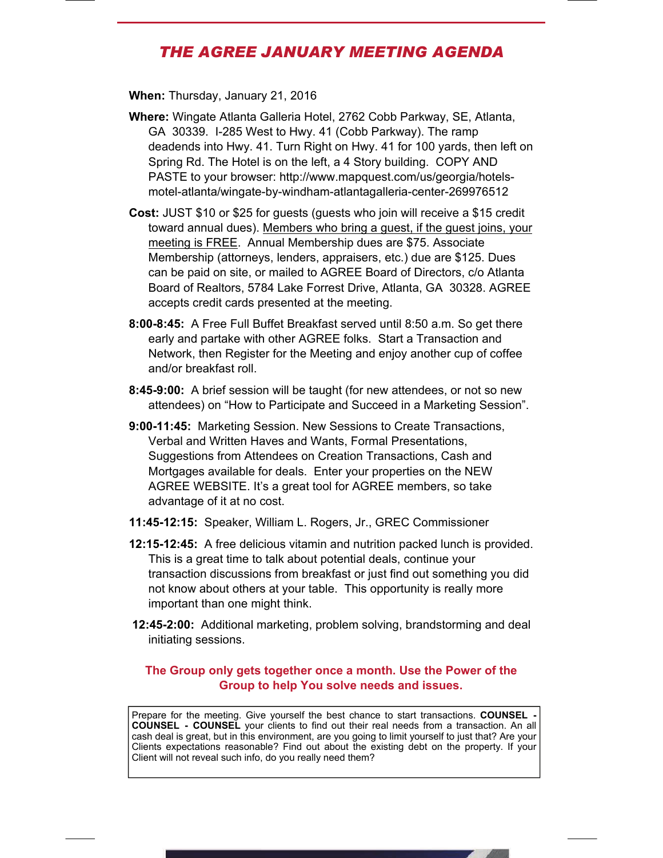# *THE AGREE JANUARY MEETING AGENDA*

**When:** Thursday, January 21, 2016

- **Where:** Wingate Atlanta Galleria Hotel, 2762 Cobb Parkway, SE, Atlanta, GA 30339. I-285 West to Hwy. 41 (Cobb Parkway). The ramp deadends into Hwy. 41. Turn Right on Hwy. 41 for 100 yards, then left on Spring Rd. The Hotel is on the left, a 4 Story building. COPY AND PASTE to your browser: http://www.mapquest.com/us/georgia/hotelsmotel-atlanta/wingate-by-windham-atlantagalleria-center-269976512
- **Cost:** JUST \$10 or \$25 for guests (guests who join will receive a \$15 credit toward annual dues). Members who bring a guest, if the guest joins, your meeting is FREE. Annual Membership dues are \$75. Associate Membership (attorneys, lenders, appraisers, etc.) due are \$125. Dues can be paid on site, or mailed to AGREE Board of Directors, c/o Atlanta Board of Realtors, 5784 Lake Forrest Drive, Atlanta, GA 30328. AGREE accepts credit cards presented at the meeting.
- **8:00-8:45:** A Free Full Buffet Breakfast served until 8:50 a.m. So get there early and partake with other AGREE folks. Start a Transaction and Network, then Register for the Meeting and enjoy another cup of coffee and/or breakfast roll.
- **8:45-9:00:** A brief session will be taught (for new attendees, or not so new attendees) on "How to Participate and Succeed in a Marketing Session".
- **9:00-11:45:** Marketing Session. New Sessions to Create Transactions, Verbal and Written Haves and Wants, Formal Presentations, Suggestions from Attendees on Creation Transactions, Cash and Mortgages available for deals. Enter your properties on the NEW AGREE WEBSITE. It's a great tool for AGREE members, so take advantage of it at no cost.
- **11:45-12:15:** Speaker, William L. Rogers, Jr., GREC Commissioner
- **12:15-12:45:** A free delicious vitamin and nutrition packed lunch is provided. This is a great time to talk about potential deals, continue your transaction discussions from breakfast or just find out something you did not know about others at your table. This opportunity is really more important than one might think.
- **12:45-2:00:** Additional marketing, problem solving, brandstorming and deal initiating sessions.

## **The Group only gets together once a month. Use the Power of the Group to help You solve needs and issues.**

Prepare for the meeting. Give yourself the best chance to start transactions. COUNSEL -**COUNSEL - COUNSEL** your clients to find out their real needs from a transaction. An all cash deal is great, but in this environment, are you going to limit yourself to just that? Are your Clients expectations reasonable? Find out about the existing debt on the property. If your Client will not reveal such info, do you really need them?